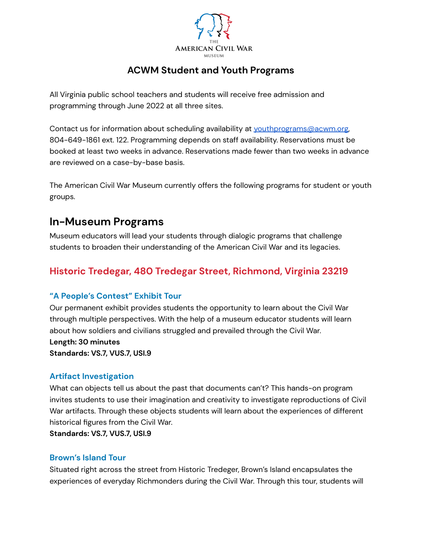

### **ACWM Student and Youth Programs**

All Virginia public school teachers and students will receive free admission and programming through June 2022 at all three sites.

Contact us for information about scheduling availability at [youthprograms@acwm.org,](mailto:youthprograms@acwm.org) 804-649-1861 ext. 122. Programming depends on staff availability. Reservations must be booked at least two weeks in advance. Reservations made fewer than two weeks in advance are reviewed on a case-by-base basis.

The American Civil War Museum currently offers the following programs for student or youth groups.

## **In-Museum Programs**

Museum educators will lead your students through dialogic programs that challenge students to broaden their understanding of the American Civil War and its legacies.

## **Historic Tredegar, 480 Tredegar Street, Richmond, Virginia 23219**

#### **"A People's Contest" Exhibit Tour**

Our permanent exhibit provides students the opportunity to learn about the Civil War through multiple perspectives. With the help of a museum educator students will learn about how soldiers and civilians struggled and prevailed through the Civil War.

#### **Length: 30 minutes**

**Standards: VS.7, VUS.7, USI.9**

#### **Artifact Investigation**

What can objects tell us about the past that documents can't? This hands-on program invites students to use their imagination and creativity to investigate reproductions of Civil War artifacts. Through these objects students will learn about the experiences of different historical figures from the Civil War.

**Standards: VS.7, VUS.7, USI.9**

#### **Brown's Island Tour**

Situated right across the street from Historic Tredeger, Brown's Island encapsulates the experiences of everyday Richmonders during the Civil War. Through this tour, students will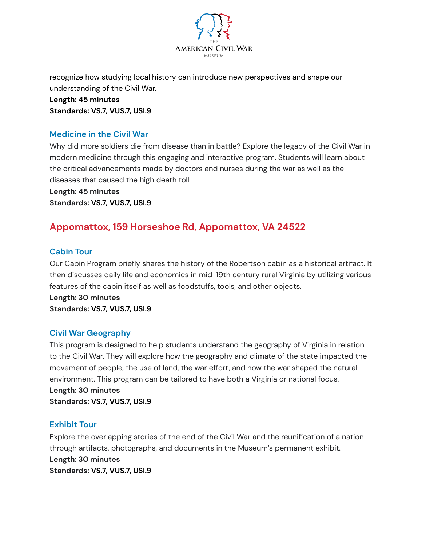

recognize how studying local history can introduce new perspectives and shape our understanding of the Civil War.

**Length: 45 minutes Standards: VS.7, VUS.7, USI.9**

#### **Medicine in the Civil War**

Why did more soldiers die from disease than in battle? Explore the legacy of the Civil War in modern medicine through this engaging and interactive program. Students will learn about the critical advancements made by doctors and nurses during the war as well as the diseases that caused the high death toll.

**Length: 45 minutes Standards: VS.7, VUS.7, USI.9**

## **Appomattox, 159 Horseshoe Rd, Appomattox, VA 24522**

#### **Cabin Tour**

Our Cabin Program briefly shares the history of the Robertson cabin as a historical artifact. It then discusses daily life and economics in mid-19th century rural Virginia by utilizing various features of the cabin itself as well as foodstuffs, tools, and other objects.

**Length: 30 minutes Standards: VS.7, VUS.7, USI.9**

#### **Civil War Geography**

This program is designed to help students understand the geography of Virginia in relation to the Civil War. They will explore how the geography and climate of the state impacted the movement of people, the use of land, the war effort, and how the war shaped the natural environment. This program can be tailored to have both a Virginia or national focus. **Length: 30 minutes**

**Standards: VS.7, VUS.7, USI.9**

#### **Exhibit Tour**

Explore the overlapping stories of the end of the Civil War and the reunification of a nation through artifacts, photographs, and documents in the Museum's permanent exhibit. **Length: 30 minutes Standards: VS.7, VUS.7, USI.9**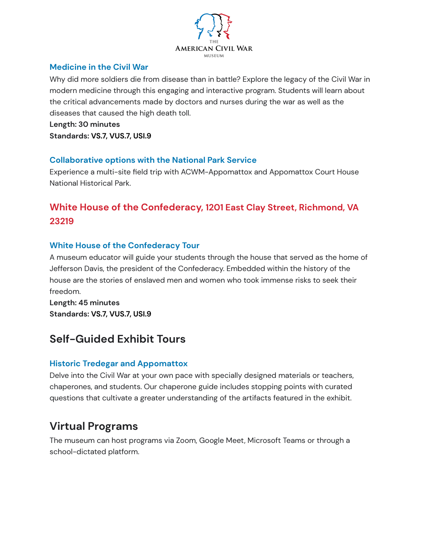

#### **Medicine in the Civil War**

Why did more soldiers die from disease than in battle? Explore the legacy of the Civil War in modern medicine through this engaging and interactive program. Students will learn about the critical advancements made by doctors and nurses during the war as well as the diseases that caused the high death toll.

**Length: 30 minutes Standards: VS.7, VUS.7, USI.9**

#### **Collaborative options with the National Park Service**

Experience a multi-site field trip with ACWM-Appomattox and Appomattox Court House National Historical Park.

## **White House of the Confederacy, 1201 East Clay Street, Richmond, VA 23219**

#### **White House of the Confederacy Tour**

A museum educator will guide your students through the house that served as the home of Jefferson Davis, the president of the Confederacy. Embedded within the history of the house are the stories of enslaved men and women who took immense risks to seek their freedom.

**Length: 45 minutes Standards: VS.7, VUS.7, USI.9**

# **Self-Guided Exhibit Tours**

#### **Historic Tredegar and Appomattox**

Delve into the Civil War at your own pace with specially designed materials or teachers, chaperones, and students. Our chaperone guide includes stopping points with curated questions that cultivate a greater understanding of the artifacts featured in the exhibit.

# **Virtual Programs**

The museum can host programs via Zoom, Google Meet, Microsoft Teams or through a school-dictated platform.